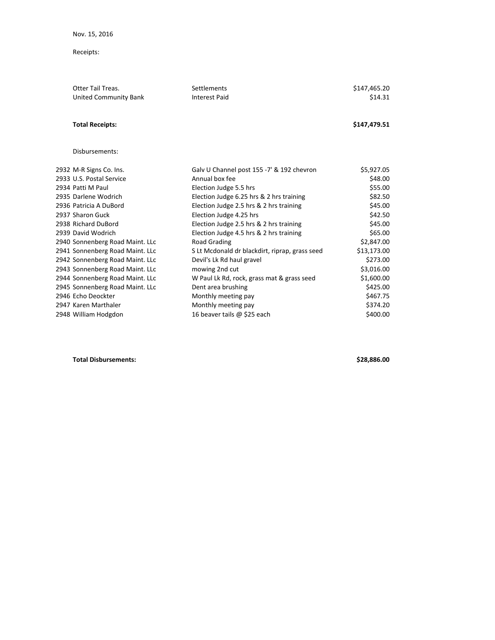Receipts:

| <b>Otter Tail Treas.</b>        | Settlements                                    | \$147,465.20 |
|---------------------------------|------------------------------------------------|--------------|
| <b>United Community Bank</b>    | <b>Interest Paid</b>                           | \$14.31      |
|                                 |                                                |              |
| <b>Total Receipts:</b>          |                                                | \$147,479.51 |
|                                 |                                                |              |
| Disbursements:                  |                                                |              |
| 2932 M-R Signs Co. Ins.         | Galv U Channel post 155 -7' & 192 chevron      | \$5,927.05   |
| 2933 U.S. Postal Service        | Annual box fee                                 | \$48.00      |
| 2934 Patti M Paul               | Election Judge 5.5 hrs                         | \$55.00      |
| 2935 Darlene Wodrich            | Election Judge 6.25 hrs & 2 hrs training       | \$82.50      |
| 2936 Patricia A DuBord          | Election Judge 2.5 hrs & 2 hrs training        | \$45.00      |
| 2937 Sharon Guck                | Election Judge 4.25 hrs                        | \$42.50      |
| 2938 Richard DuBord             | Election Judge 2.5 hrs & 2 hrs training        | \$45.00      |
| 2939 David Wodrich              | Election Judge 4.5 hrs & 2 hrs training        | \$65.00      |
| 2940 Sonnenberg Road Maint. LLc | Road Grading                                   | \$2,847.00   |
| 2941 Sonnenberg Road Maint. LLc | S Lt Mcdonald dr blackdirt, riprap, grass seed | \$13,173.00  |
| 2942 Sonnenberg Road Maint. LLc | Devil's Lk Rd haul gravel                      | \$273.00     |
| 2943 Sonnenberg Road Maint. LLc | mowing 2nd cut                                 | \$3,016.00   |
| 2944 Sonnenberg Road Maint. LLc | W Paul Lk Rd, rock, grass mat & grass seed     | \$1,600.00   |
| 2945 Sonnenberg Road Maint. LLc | Dent area brushing                             | \$425.00     |
| 2946 Echo Deockter              | Monthly meeting pay                            | \$467.75     |
| 2947 Karen Marthaler            | Monthly meeting pay                            | \$374.20     |
| 2948 William Hodgdon            | 16 beaver tails @ \$25 each                    | \$400.00     |
|                                 |                                                |              |

**Total Disbursements: \$28,886.00**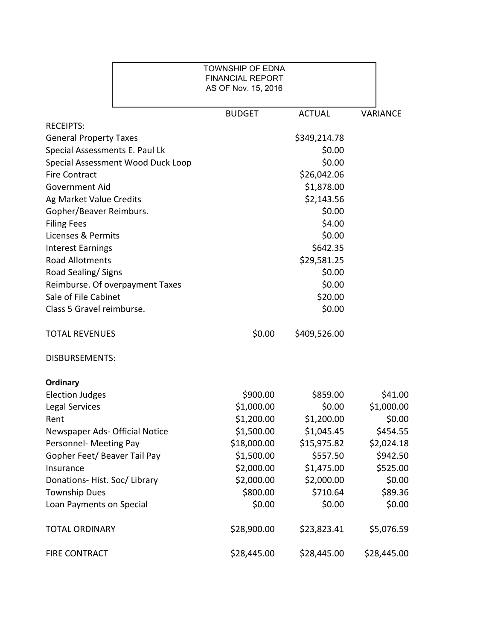|                                   | <b>TOWNSHIP OF EDNA</b><br><b>FINANCIAL REPORT</b><br>AS OF Nov. 15, 2016 |               |                 |
|-----------------------------------|---------------------------------------------------------------------------|---------------|-----------------|
|                                   | <b>BUDGET</b>                                                             | <b>ACTUAL</b> | <b>VARIANCE</b> |
| <b>RECEIPTS:</b>                  |                                                                           |               |                 |
| <b>General Property Taxes</b>     |                                                                           | \$349,214.78  |                 |
| Special Assessments E. Paul Lk    |                                                                           | \$0.00        |                 |
| Special Assessment Wood Duck Loop |                                                                           | \$0.00        |                 |
| <b>Fire Contract</b>              |                                                                           | \$26,042.06   |                 |
| <b>Government Aid</b>             |                                                                           | \$1,878.00    |                 |
| Ag Market Value Credits           |                                                                           | \$2,143.56    |                 |
| Gopher/Beaver Reimburs.           |                                                                           | \$0.00        |                 |
| <b>Filing Fees</b>                |                                                                           | \$4.00        |                 |
| Licenses & Permits                |                                                                           | \$0.00        |                 |
| <b>Interest Earnings</b>          |                                                                           | \$642.35      |                 |
| <b>Road Allotments</b>            |                                                                           | \$29,581.25   |                 |
| Road Sealing/Signs                |                                                                           | \$0.00        |                 |
| Reimburse. Of overpayment Taxes   |                                                                           | \$0.00        |                 |
| Sale of File Cabinet              |                                                                           | \$20.00       |                 |
| Class 5 Gravel reimburse.         |                                                                           | \$0.00        |                 |
| <b>TOTAL REVENUES</b>             | \$0.00                                                                    | \$409,526.00  |                 |
| <b>DISBURSEMENTS:</b>             |                                                                           |               |                 |
| <b>Ordinary</b>                   |                                                                           |               |                 |
| <b>Election Judges</b>            | \$900.00                                                                  | \$859.00      | \$41.00         |
| <b>Legal Services</b>             | \$1,000.00                                                                | \$0.00        | \$1,000.00      |
| Rent                              | \$1,200.00                                                                | \$1,200.00    | \$0.00          |
| Newspaper Ads- Official Notice    | \$1,500.00                                                                | \$1,045.45    | \$454.55        |
| Personnel- Meeting Pay            | \$18,000.00                                                               | \$15,975.82   | \$2,024.18      |
| Gopher Feet/ Beaver Tail Pay      | \$1,500.00                                                                | \$557.50      | \$942.50        |
| Insurance                         | \$2,000.00                                                                | \$1,475.00    | \$525.00        |
| Donations-Hist. Soc/Library       | \$2,000.00                                                                | \$2,000.00    | \$0.00          |
| <b>Township Dues</b>              | \$800.00                                                                  | \$710.64      | \$89.36         |
| Loan Payments on Special          | \$0.00                                                                    | \$0.00        | \$0.00          |
| <b>TOTAL ORDINARY</b>             | \$28,900.00                                                               | \$23,823.41   | \$5,076.59      |
| FIRE CONTRACT                     | \$28,445.00                                                               | \$28,445.00   | \$28,445.00     |